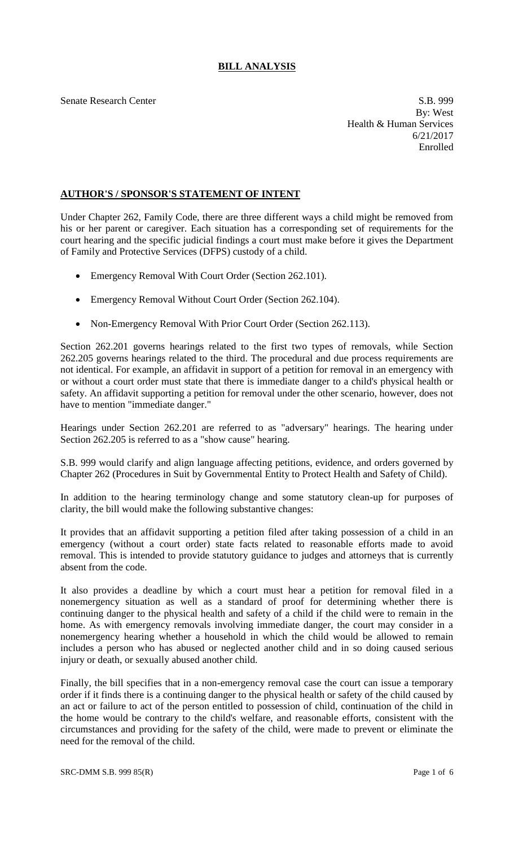## **BILL ANALYSIS**

Senate Research Center S.B. 999 By: West Health & Human Services 6/21/2017 Enrolled

## **AUTHOR'S / SPONSOR'S STATEMENT OF INTENT**

Under Chapter 262, Family Code, there are three different ways a child might be removed from his or her parent or caregiver. Each situation has a corresponding set of requirements for the court hearing and the specific judicial findings a court must make before it gives the Department of Family and Protective Services (DFPS) custody of a child.

- Emergency Removal With Court Order (Section 262.101).
- Emergency Removal Without Court Order (Section 262.104).
- Non-Emergency Removal With Prior Court Order (Section 262.113).

Section 262.201 governs hearings related to the first two types of removals, while Section 262.205 governs hearings related to the third. The procedural and due process requirements are not identical. For example, an affidavit in support of a petition for removal in an emergency with or without a court order must state that there is immediate danger to a child's physical health or safety. An affidavit supporting a petition for removal under the other scenario, however, does not have to mention "immediate danger."

Hearings under Section 262.201 are referred to as "adversary" hearings. The hearing under Section 262.205 is referred to as a "show cause" hearing.

S.B. 999 would clarify and align language affecting petitions, evidence, and orders governed by Chapter 262 (Procedures in Suit by Governmental Entity to Protect Health and Safety of Child).

In addition to the hearing terminology change and some statutory clean-up for purposes of clarity, the bill would make the following substantive changes:

It provides that an affidavit supporting a petition filed after taking possession of a child in an emergency (without a court order) state facts related to reasonable efforts made to avoid removal. This is intended to provide statutory guidance to judges and attorneys that is currently absent from the code.

It also provides a deadline by which a court must hear a petition for removal filed in a nonemergency situation as well as a standard of proof for determining whether there is continuing danger to the physical health and safety of a child if the child were to remain in the home. As with emergency removals involving immediate danger, the court may consider in a nonemergency hearing whether a household in which the child would be allowed to remain includes a person who has abused or neglected another child and in so doing caused serious injury or death, or sexually abused another child.

Finally, the bill specifies that in a non-emergency removal case the court can issue a temporary order if it finds there is a continuing danger to the physical health or safety of the child caused by an act or failure to act of the person entitled to possession of child, continuation of the child in the home would be contrary to the child's welfare, and reasonable efforts, consistent with the circumstances and providing for the safety of the child, were made to prevent or eliminate the need for the removal of the child.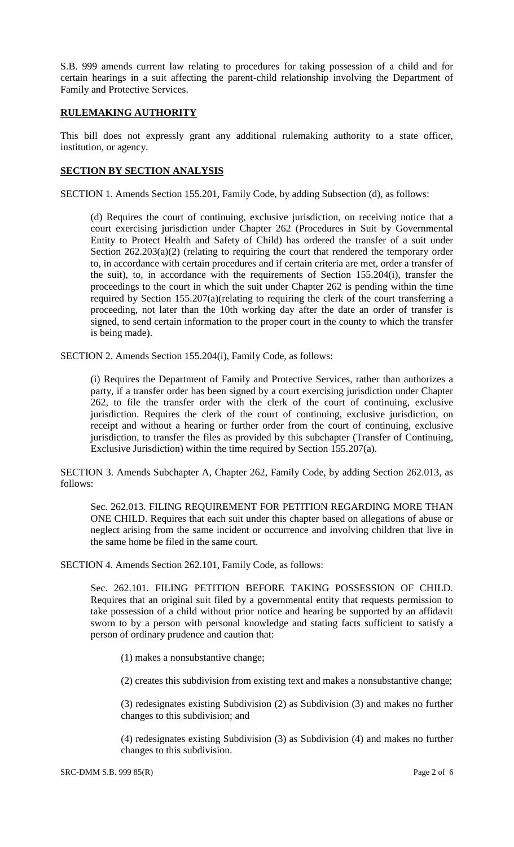S.B. 999 amends current law relating to procedures for taking possession of a child and for certain hearings in a suit affecting the parent-child relationship involving the Department of Family and Protective Services.

## **RULEMAKING AUTHORITY**

This bill does not expressly grant any additional rulemaking authority to a state officer, institution, or agency.

## **SECTION BY SECTION ANALYSIS**

SECTION 1. Amends Section 155.201, Family Code, by adding Subsection (d), as follows:

(d) Requires the court of continuing, exclusive jurisdiction, on receiving notice that a court exercising jurisdiction under Chapter 262 (Procedures in Suit by Governmental Entity to Protect Health and Safety of Child) has ordered the transfer of a suit under Section  $262.203(a)(2)$  (relating to requiring the court that rendered the temporary order to, in accordance with certain procedures and if certain criteria are met, order a transfer of the suit), to, in accordance with the requirements of Section 155.204(i), transfer the proceedings to the court in which the suit under Chapter 262 is pending within the time required by Section 155.207(a)(relating to requiring the clerk of the court transferring a proceeding, not later than the 10th working day after the date an order of transfer is signed, to send certain information to the proper court in the county to which the transfer is being made).

SECTION 2. Amends Section 155.204(i), Family Code, as follows:

(i) Requires the Department of Family and Protective Services, rather than authorizes a party, if a transfer order has been signed by a court exercising jurisdiction under Chapter 262, to file the transfer order with the clerk of the court of continuing, exclusive jurisdiction. Requires the clerk of the court of continuing, exclusive jurisdiction, on receipt and without a hearing or further order from the court of continuing, exclusive jurisdiction, to transfer the files as provided by this subchapter (Transfer of Continuing, Exclusive Jurisdiction) within the time required by Section 155.207(a).

SECTION 3. Amends Subchapter A, Chapter 262, Family Code, by adding Section 262.013, as follows:

Sec. 262.013. FILING REQUIREMENT FOR PETITION REGARDING MORE THAN ONE CHILD. Requires that each suit under this chapter based on allegations of abuse or neglect arising from the same incident or occurrence and involving children that live in the same home be filed in the same court.

SECTION 4. Amends Section 262.101, Family Code, as follows:

Sec. 262.101. FILING PETITION BEFORE TAKING POSSESSION OF CHILD. Requires that an original suit filed by a governmental entity that requests permission to take possession of a child without prior notice and hearing be supported by an affidavit sworn to by a person with personal knowledge and stating facts sufficient to satisfy a person of ordinary prudence and caution that:

(1) makes a nonsubstantive change;

(2) creates this subdivision from existing text and makes a nonsubstantive change;

(3) redesignates existing Subdivision (2) as Subdivision (3) and makes no further changes to this subdivision; and

(4) redesignates existing Subdivision (3) as Subdivision (4) and makes no further changes to this subdivision.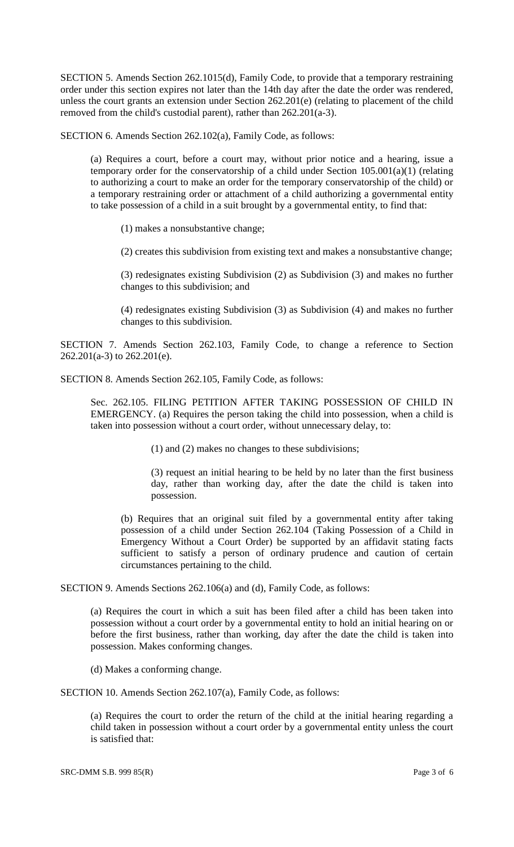SECTION 5. Amends Section 262.1015(d), Family Code, to provide that a temporary restraining order under this section expires not later than the 14th day after the date the order was rendered, unless the court grants an extension under Section 262.201(e) (relating to placement of the child removed from the child's custodial parent), rather than 262.201(a-3).

SECTION 6. Amends Section 262.102(a), Family Code, as follows:

(a) Requires a court, before a court may, without prior notice and a hearing, issue a temporary order for the conservatorship of a child under Section 105.001(a)(1) (relating to authorizing a court to make an order for the temporary conservatorship of the child) or a temporary restraining order or attachment of a child authorizing a governmental entity to take possession of a child in a suit brought by a governmental entity, to find that:

(1) makes a nonsubstantive change;

(2) creates this subdivision from existing text and makes a nonsubstantive change;

(3) redesignates existing Subdivision (2) as Subdivision (3) and makes no further changes to this subdivision; and

(4) redesignates existing Subdivision (3) as Subdivision (4) and makes no further changes to this subdivision.

SECTION 7. Amends Section 262.103, Family Code, to change a reference to Section 262.201(a-3) to 262.201(e).

SECTION 8. Amends Section 262.105, Family Code, as follows:

Sec. 262.105. FILING PETITION AFTER TAKING POSSESSION OF CHILD IN EMERGENCY. (a) Requires the person taking the child into possession, when a child is taken into possession without a court order, without unnecessary delay, to:

(1) and (2) makes no changes to these subdivisions;

(3) request an initial hearing to be held by no later than the first business day, rather than working day, after the date the child is taken into possession.

(b) Requires that an original suit filed by a governmental entity after taking possession of a child under Section 262.104 (Taking Possession of a Child in Emergency Without a Court Order) be supported by an affidavit stating facts sufficient to satisfy a person of ordinary prudence and caution of certain circumstances pertaining to the child.

SECTION 9. Amends Sections 262.106(a) and (d), Family Code, as follows:

(a) Requires the court in which a suit has been filed after a child has been taken into possession without a court order by a governmental entity to hold an initial hearing on or before the first business, rather than working, day after the date the child is taken into possession. Makes conforming changes.

(d) Makes a conforming change.

SECTION 10. Amends Section 262.107(a), Family Code, as follows:

(a) Requires the court to order the return of the child at the initial hearing regarding a child taken in possession without a court order by a governmental entity unless the court is satisfied that: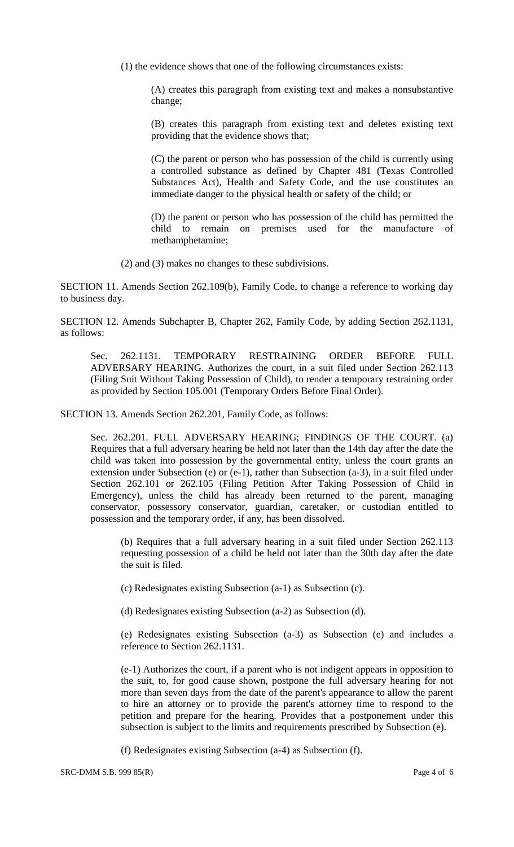(1) the evidence shows that one of the following circumstances exists:

(A) creates this paragraph from existing text and makes a nonsubstantive change;

(B) creates this paragraph from existing text and deletes existing text providing that the evidence shows that;

(C) the parent or person who has possession of the child is currently using a controlled substance as defined by Chapter 481 (Texas Controlled Substances Act), Health and Safety Code, and the use constitutes an immediate danger to the physical health or safety of the child; or

(D) the parent or person who has possession of the child has permitted the child to remain on premises used for the manufacture of methamphetamine;

(2) and (3) makes no changes to these subdivisions.

SECTION 11. Amends Section 262.109(b), Family Code, to change a reference to working day to business day.

SECTION 12. Amends Subchapter B, Chapter 262, Family Code, by adding Section 262.1131, as follows:

Sec. 262.1131. TEMPORARY RESTRAINING ORDER BEFORE FULL ADVERSARY HEARING. Authorizes the court, in a suit filed under Section 262.113 (Filing Suit Without Taking Possession of Child), to render a temporary restraining order as provided by Section 105.001 (Temporary Orders Before Final Order).

SECTION 13. Amends Section 262.201, Family Code, as follows:

Sec. 262.201. FULL ADVERSARY HEARING; FINDINGS OF THE COURT. (a) Requires that a full adversary hearing be held not later than the 14th day after the date the child was taken into possession by the governmental entity, unless the court grants an extension under Subsection (e) or (e-1), rather than Subsection (a-3), in a suit filed under Section 262.101 or 262.105 (Filing Petition After Taking Possession of Child in Emergency), unless the child has already been returned to the parent, managing conservator, possessory conservator, guardian, caretaker, or custodian entitled to possession and the temporary order, if any, has been dissolved.

(b) Requires that a full adversary hearing in a suit filed under Section 262.113 requesting possession of a child be held not later than the 30th day after the date the suit is filed.

(c) Redesignates existing Subsection (a-1) as Subsection (c).

(d) Redesignates existing Subsection (a-2) as Subsection (d).

(e) Redesignates existing Subsection (a-3) as Subsection (e) and includes a reference to Section 262.1131.

(e-1) Authorizes the court, if a parent who is not indigent appears in opposition to the suit, to, for good cause shown, postpone the full adversary hearing for not more than seven days from the date of the parent's appearance to allow the parent to hire an attorney or to provide the parent's attorney time to respond to the petition and prepare for the hearing. Provides that a postponement under this subsection is subject to the limits and requirements prescribed by Subsection (e).

(f) Redesignates existing Subsection (a-4) as Subsection (f).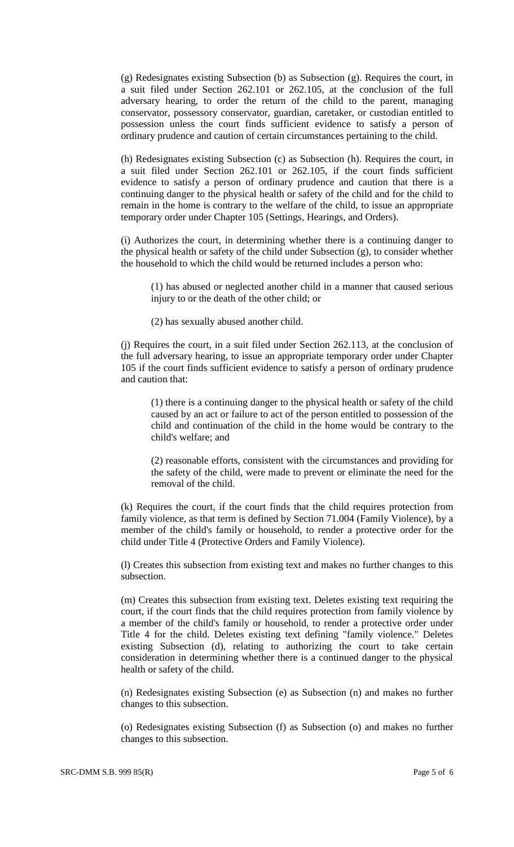(g) Redesignates existing Subsection (b) as Subsection (g). Requires the court, in a suit filed under Section 262.101 or 262.105, at the conclusion of the full adversary hearing, to order the return of the child to the parent, managing conservator, possessory conservator, guardian, caretaker, or custodian entitled to possession unless the court finds sufficient evidence to satisfy a person of ordinary prudence and caution of certain circumstances pertaining to the child.

(h) Redesignates existing Subsection (c) as Subsection (h). Requires the court, in a suit filed under Section 262.101 or 262.105, if the court finds sufficient evidence to satisfy a person of ordinary prudence and caution that there is a continuing danger to the physical health or safety of the child and for the child to remain in the home is contrary to the welfare of the child, to issue an appropriate temporary order under Chapter 105 (Settings, Hearings, and Orders).

(i) Authorizes the court, in determining whether there is a continuing danger to the physical health or safety of the child under Subsection (g), to consider whether the household to which the child would be returned includes a person who:

(1) has abused or neglected another child in a manner that caused serious injury to or the death of the other child; or

(2) has sexually abused another child.

(j) Requires the court, in a suit filed under Section 262.113, at the conclusion of the full adversary hearing, to issue an appropriate temporary order under Chapter 105 if the court finds sufficient evidence to satisfy a person of ordinary prudence and caution that:

(1) there is a continuing danger to the physical health or safety of the child caused by an act or failure to act of the person entitled to possession of the child and continuation of the child in the home would be contrary to the child's welfare; and

(2) reasonable efforts, consistent with the circumstances and providing for the safety of the child, were made to prevent or eliminate the need for the removal of the child.

(k) Requires the court, if the court finds that the child requires protection from family violence, as that term is defined by Section 71.004 (Family Violence), by a member of the child's family or household, to render a protective order for the child under Title 4 (Protective Orders and Family Violence).

(l) Creates this subsection from existing text and makes no further changes to this subsection.

(m) Creates this subsection from existing text. Deletes existing text requiring the court, if the court finds that the child requires protection from family violence by a member of the child's family or household, to render a protective order under Title 4 for the child. Deletes existing text defining "family violence." Deletes existing Subsection (d), relating to authorizing the court to take certain consideration in determining whether there is a continued danger to the physical health or safety of the child.

(n) Redesignates existing Subsection (e) as Subsection (n) and makes no further changes to this subsection.

(o) Redesignates existing Subsection (f) as Subsection (o) and makes no further changes to this subsection.